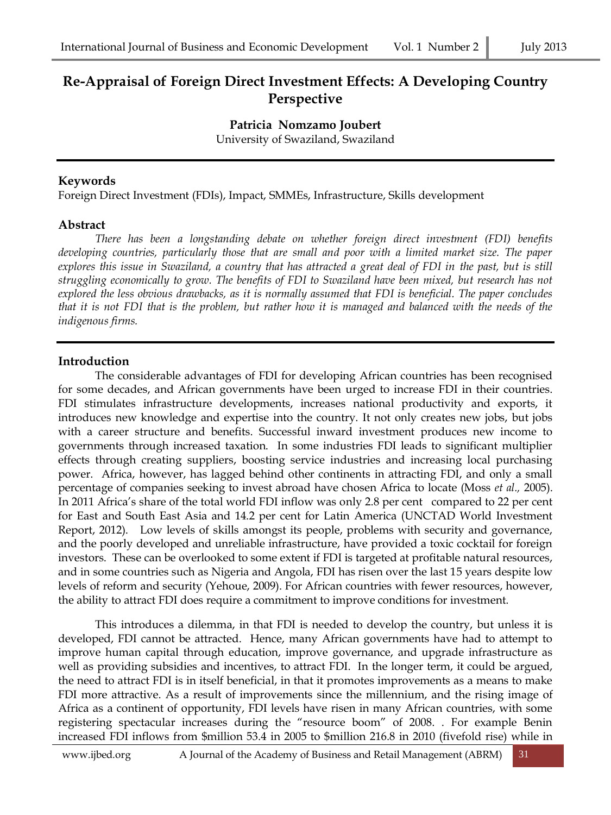# **Re-Appraisal of Foreign Direct Investment Effects: A Developing Country Perspective**

**Patricia Nomzamo Joubert** University of Swaziland, Swaziland

### **Keywords**

Foreign Direct Investment (FDIs), Impact, SMMEs, Infrastructure, Skills development

### **Abstract**

*There has been a longstanding debate on whether foreign direct investment (FDI) benefits developing countries, particularly those that are small and poor with a limited market size. The paper explores this issue in Swaziland, a country that has attracted a great deal of FDI in the past, but is still struggling economically to grow. The benefits of FDI to Swaziland have been mixed, but research has not explored the less obvious drawbacks, as it is normally assumed that FDI is beneficial. The paper concludes that it is not FDI that is the problem, but rather how it is managed and balanced with the needs of the indigenous firms.*

# **Introduction**

The considerable advantages of FDI for developing African countries has been recognised for some decades, and African governments have been urged to increase FDI in their countries. FDI stimulates infrastructure developments, increases national productivity and exports, it introduces new knowledge and expertise into the country. It not only creates new jobs, but jobs with a career structure and benefits. Successful inward investment produces new income to governments through increased taxation. In some industries FDI leads to significant multiplier effects through creating suppliers, boosting service industries and increasing local purchasing power. Africa, however, has lagged behind other continents in attracting FDI, and only a small percentage of companies seeking to invest abroad have chosen Africa to locate (Moss *et al.,* 2005). In 2011 Africa's share of the total world FDI inflow was only 2.8 per cent compared to 22 per cent for East and South East Asia and 14.2 per cent for Latin America (UNCTAD World Investment Report, 2012). Low levels of skills amongst its people, problems with security and governance, and the poorly developed and unreliable infrastructure, have provided a toxic cocktail for foreign investors. These can be overlooked to some extent if FDI is targeted at profitable natural resources, and in some countries such as Nigeria and Angola, FDI has risen over the last 15 years despite low levels of reform and security (Yehoue, 2009). For African countries with fewer resources, however, the ability to attract FDI does require a commitment to improve conditions for investment.

This introduces a dilemma, in that FDI is needed to develop the country, but unless it is developed, FDI cannot be attracted. Hence, many African governments have had to attempt to improve human capital through education, improve governance, and upgrade infrastructure as well as providing subsidies and incentives, to attract FDI. In the longer term, it could be argued, the need to attract FDI is in itself beneficial, in that it promotes improvements as a means to make FDI more attractive. As a result of improvements since the millennium, and the rising image of Africa as a continent of opportunity, FDI levels have risen in many African countries, with some registering spectacular increases during the "resource boom" of 2008. . For example Benin increased FDI inflows from \$million 53.4 in 2005 to \$million 216.8 in 2010 (fivefold rise) while in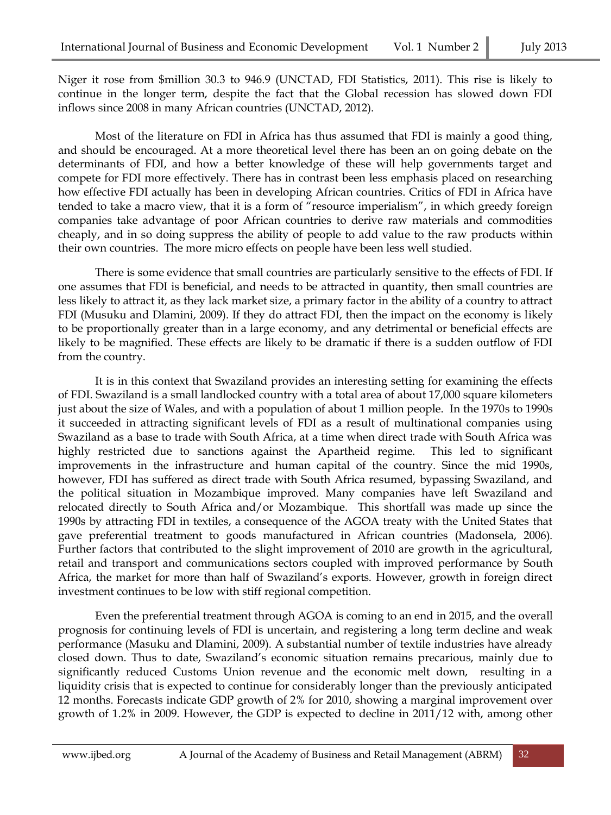Niger it rose from \$million 30.3 to 946.9 (UNCTAD, FDI Statistics, 2011). This rise is likely to continue in the longer term, despite the fact that the Global recession has slowed down FDI inflows since 2008 in many African countries (UNCTAD, 2012).

Most of the literature on FDI in Africa has thus assumed that FDI is mainly a good thing, and should be encouraged. At a more theoretical level there has been an on going debate on the determinants of FDI, and how a better knowledge of these will help governments target and compete for FDI more effectively. There has in contrast been less emphasis placed on researching how effective FDI actually has been in developing African countries. Critics of FDI in Africa have tended to take a macro view, that it is a form of "resource imperialism", in which greedy foreign companies take advantage of poor African countries to derive raw materials and commodities cheaply, and in so doing suppress the ability of people to add value to the raw products within their own countries. The more micro effects on people have been less well studied.

There is some evidence that small countries are particularly sensitive to the effects of FDI. If one assumes that FDI is beneficial, and needs to be attracted in quantity, then small countries are less likely to attract it, as they lack market size, a primary factor in the ability of a country to attract FDI (Musuku and Dlamini, 2009). If they do attract FDI, then the impact on the economy is likely to be proportionally greater than in a large economy, and any detrimental or beneficial effects are likely to be magnified. These effects are likely to be dramatic if there is a sudden outflow of FDI from the country.

It is in this context that Swaziland provides an interesting setting for examining the effects of FDI. Swaziland is a small landlocked country with a total area of about 17,000 square kilometers just about the size of Wales, and with a population of about 1 million people. In the 1970s to 1990s it succeeded in attracting significant levels of FDI as a result of multinational companies using Swaziland as a base to trade with South Africa, at a time when direct trade with South Africa was highly restricted due to sanctions against the Apartheid regime. This led to significant improvements in the infrastructure and human capital of the country. Since the mid 1990s, however, FDI has suffered as direct trade with South Africa resumed, bypassing Swaziland, and the political situation in Mozambique improved. Many companies have left Swaziland and relocated directly to South Africa and/or Mozambique. This shortfall was made up since the 1990s by attracting FDI in textiles, a consequence of the AGOA treaty with the United States that gave preferential treatment to goods manufactured in African countries (Madonsela, 2006). Further factors that contributed to the slight improvement of 2010 are growth in the agricultural, retail and transport and communications sectors coupled with improved performance by South Africa, the market for more than half of Swaziland's exports. However, growth in foreign direct investment continues to be low with stiff regional competition.

Even the preferential treatment through AGOA is coming to an end in 2015, and the overall prognosis for continuing levels of FDI is uncertain, and registering a long term decline and weak performance (Masuku and Dlamini, 2009). A substantial number of textile industries have already closed down. Thus to date, Swaziland's economic situation remains precarious, mainly due to significantly reduced Customs Union revenue and the economic melt down, resulting in a liquidity crisis that is expected to continue for considerably longer than the previously anticipated 12 months. Forecasts indicate GDP growth of 2% for 2010, showing a marginal improvement over growth of 1.2% in 2009. However, the GDP is expected to decline in 2011/12 with, among other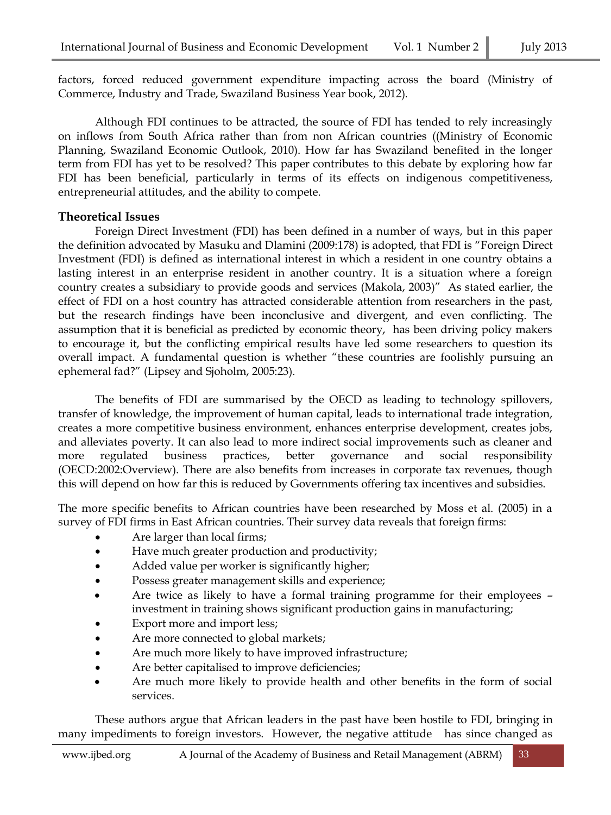factors, forced reduced government expenditure impacting across the board (Ministry of Commerce, Industry and Trade, Swaziland Business Year book, 2012).

Although FDI continues to be attracted, the source of FDI has tended to rely increasingly on inflows from South Africa rather than from non African countries ((Ministry of Economic Planning, Swaziland Economic Outlook, 2010). How far has Swaziland benefited in the longer term from FDI has yet to be resolved? This paper contributes to this debate by exploring how far FDI has been beneficial, particularly in terms of its effects on indigenous competitiveness, entrepreneurial attitudes, and the ability to compete.

### **Theoretical Issues**

Foreign Direct Investment (FDI) has been defined in a number of ways, but in this paper the definition advocated by Masuku and Dlamini (2009:178) is adopted, that FDI is "Foreign Direct Investment (FDI) is defined as international interest in which a resident in one country obtains a lasting interest in an enterprise resident in another country. It is a situation where a foreign country creates a subsidiary to provide goods and services (Makola, 2003)" As stated earlier, the effect of FDI on a host country has attracted considerable attention from researchers in the past, but the research findings have been inconclusive and divergent, and even conflicting. The assumption that it is beneficial as predicted by economic theory, has been driving policy makers to encourage it, but the conflicting empirical results have led some researchers to question its overall impact. A fundamental question is whether "these countries are foolishly pursuing an ephemeral fad?" (Lipsey and Sjoholm, 2005:23).

The benefits of FDI are summarised by the OECD as leading to technology spillovers, transfer of knowledge, the improvement of human capital, leads to international trade integration, creates a more competitive business environment, enhances enterprise development, creates jobs, and alleviates poverty. It can also lead to more indirect social improvements such as cleaner and more regulated business practices, better governance and social responsibility (OECD:2002:Overview). There are also benefits from increases in corporate tax revenues, though this will depend on how far this is reduced by Governments offering tax incentives and subsidies.

The more specific benefits to African countries have been researched by Moss et al. (2005) in a survey of FDI firms in East African countries. Their survey data reveals that foreign firms:

- Are larger than local firms;
- Have much greater production and productivity;
- Added value per worker is significantly higher;
- Possess greater management skills and experience;
- Are twice as likely to have a formal training programme for their employees investment in training shows significant production gains in manufacturing;
- Export more and import less;
- Are more connected to global markets;
- Are much more likely to have improved infrastructure;
- Are better capitalised to improve deficiencies;
- Are much more likely to provide health and other benefits in the form of social services.

These authors argue that African leaders in the past have been hostile to FDI, bringing in many impediments to foreign investors. However, the negative attitude has since changed as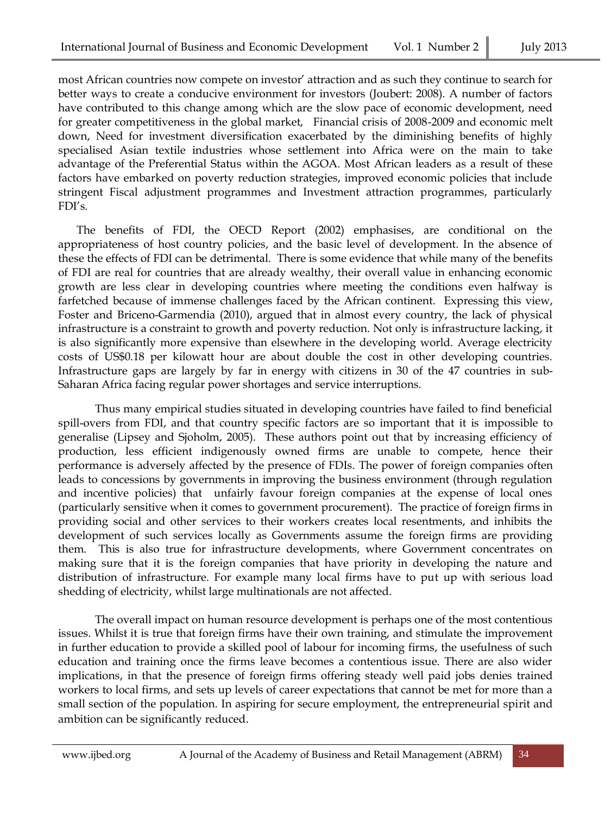most African countries now compete on investor' attraction and as such they continue to search for better ways to create a conducive environment for investors (Joubert: 2008). A number of factors have contributed to this change among which are the slow pace of economic development, need for greater competitiveness in the global market, Financial crisis of 2008-2009 and economic melt down, Need for investment diversification exacerbated by the diminishing benefits of highly specialised Asian textile industries whose settlement into Africa were on the main to take advantage of the Preferential Status within the AGOA. Most African leaders as a result of these factors have embarked on poverty reduction strategies, improved economic policies that include stringent Fiscal adjustment programmes and Investment attraction programmes, particularly FDI's.

The benefits of FDI, the OECD Report (2002) emphasises, are conditional on the appropriateness of host country policies, and the basic level of development. In the absence of these the effects of FDI can be detrimental. There is some evidence that while many of the benefits of FDI are real for countries that are already wealthy, their overall value in enhancing economic growth are less clear in developing countries where meeting the conditions even halfway is farfetched because of immense challenges faced by the African continent. Expressing this view, Foster and Briceno-Garmendia (2010), argued that in almost every country, the lack of physical infrastructure is a constraint to growth and poverty reduction. Not only is infrastructure lacking, it is also significantly more expensive than elsewhere in the developing world. Average electricity costs of US\$0.18 per kilowatt hour are about double the cost in other developing countries. Infrastructure gaps are largely by far in energy with citizens in 30 of the 47 countries in sub-Saharan Africa facing regular power shortages and service interruptions.

Thus many empirical studies situated in developing countries have failed to find beneficial spill-overs from FDI, and that country specific factors are so important that it is impossible to generalise (Lipsey and Sjoholm, 2005). These authors point out that by increasing efficiency of production, less efficient indigenously owned firms are unable to compete, hence their performance is adversely affected by the presence of FDIs. The power of foreign companies often leads to concessions by governments in improving the business environment (through regulation and incentive policies) that unfairly favour foreign companies at the expense of local ones (particularly sensitive when it comes to government procurement). The practice of foreign firms in providing social and other services to their workers creates local resentments, and inhibits the development of such services locally as Governments assume the foreign firms are providing them. This is also true for infrastructure developments, where Government concentrates on making sure that it is the foreign companies that have priority in developing the nature and distribution of infrastructure. For example many local firms have to put up with serious load shedding of electricity, whilst large multinationals are not affected.

The overall impact on human resource development is perhaps one of the most contentious issues. Whilst it is true that foreign firms have their own training, and stimulate the improvement in further education to provide a skilled pool of labour for incoming firms, the usefulness of such education and training once the firms leave becomes a contentious issue. There are also wider implications, in that the presence of foreign firms offering steady well paid jobs denies trained workers to local firms, and sets up levels of career expectations that cannot be met for more than a small section of the population. In aspiring for secure employment, the entrepreneurial spirit and ambition can be significantly reduced.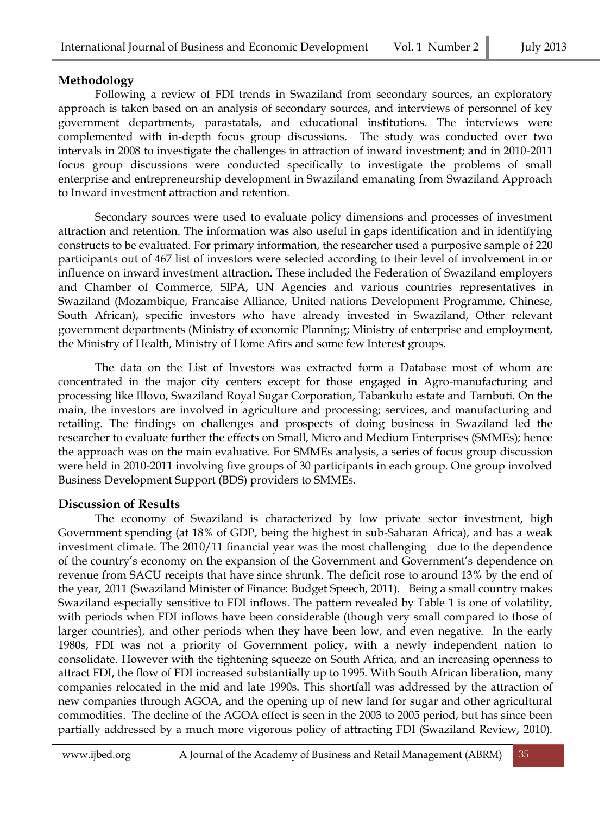### **Methodology**

Following a review of FDI trends in Swaziland from secondary sources, an exploratory approach is taken based on an analysis of secondary sources, and interviews of personnel of key government departments, parastatals, and educational institutions. The interviews were complemented with in-depth focus group discussions. The study was conducted over two intervals in 2008 to investigate the challenges in attraction of inward investment; and in 2010-2011 focus group discussions were conducted specifically to investigate the problems of small enterprise and entrepreneurship development in Swaziland emanating from Swaziland Approach to Inward investment attraction and retention.

Secondary sources were used to evaluate policy dimensions and processes of investment attraction and retention. The information was also useful in gaps identification and in identifying constructs to be evaluated. For primary information, the researcher used a purposive sample of 220 participants out of 467 list of investors were selected according to their level of involvement in or influence on inward investment attraction. These included the Federation of Swaziland employers and Chamber of Commerce, SIPA, UN Agencies and various countries representatives in Swaziland (Mozambique, Francaise Alliance, United nations Development Programme, Chinese, South African), specific investors who have already invested in Swaziland, Other relevant government departments (Ministry of economic Planning; Ministry of enterprise and employment, the Ministry of Health, Ministry of Home Afirs and some few Interest groups.

The data on the List of Investors was extracted form a Database most of whom are concentrated in the major city centers except for those engaged in Agro-manufacturing and processing like Illovo, Swaziland Royal Sugar Corporation, Tabankulu estate and Tambuti. On the main, the investors are involved in agriculture and processing; services, and manufacturing and retailing. The findings on challenges and prospects of doing business in Swaziland led the researcher to evaluate further the effects on Small, Micro and Medium Enterprises (SMMEs); hence the approach was on the main evaluative. For SMMEs analysis, a series of focus group discussion were held in 2010-2011 involving five groups of 30 participants in each group. One group involved Business Development Support (BDS) providers to SMMEs.

# **Discussion of Results**

The economy of Swaziland is characterized by low private sector investment, high Government spending (at 18% of GDP, being the highest in sub-Saharan Africa), and has a weak investment climate. The 2010/11 financial year was the most challenging due to the dependence of the country's economy on the expansion of the Government and Government's dependence on revenue from SACU receipts that have since shrunk. The deficit rose to around 13% by the end of the year, 2011 (Swaziland Minister of Finance: Budget Speech, 2011). Being a small country makes Swaziland especially sensitive to FDI inflows. The pattern revealed by Table 1 is one of volatility, with periods when FDI inflows have been considerable (though very small compared to those of larger countries), and other periods when they have been low, and even negative. In the early 1980s, FDI was not a priority of Government policy, with a newly independent nation to consolidate. However with the tightening squeeze on South Africa, and an increasing openness to attract FDI, the flow of FDI increased substantially up to 1995. With South African liberation, many companies relocated in the mid and late 1990s. This shortfall was addressed by the attraction of new companies through AGOA, and the opening up of new land for sugar and other agricultural commodities. The decline of the AGOA effect is seen in the 2003 to 2005 period, but has since been partially addressed by a much more vigorous policy of attracting FDI (Swaziland Review, 2010).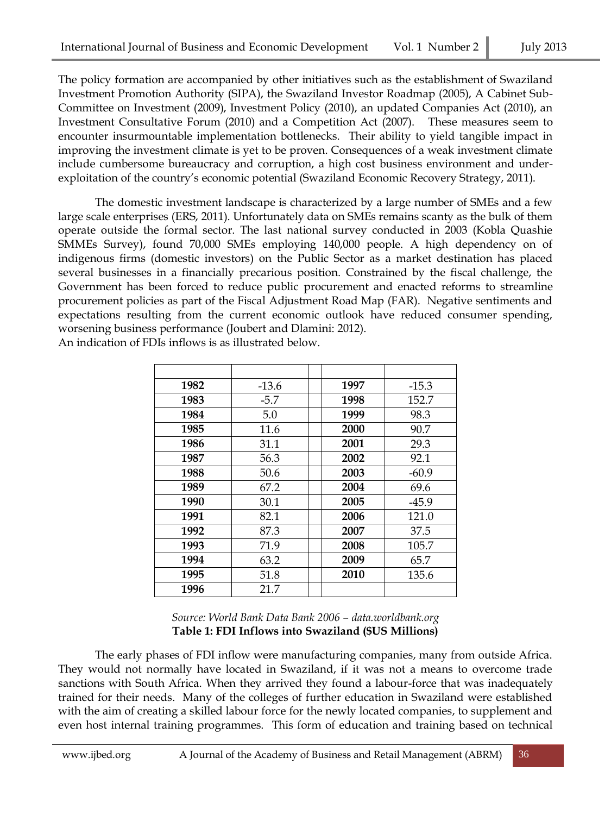The policy formation are accompanied by other initiatives such as the establishment of Swaziland Investment Promotion Authority (SIPA), the Swaziland Investor Roadmap (2005), A Cabinet Sub-Committee on Investment (2009), Investment Policy (2010), an updated Companies Act (2010), an Investment Consultative Forum (2010) and a Competition Act (2007). These measures seem to encounter insurmountable implementation bottlenecks. Their ability to yield tangible impact in improving the investment climate is yet to be proven. Consequences of a weak investment climate include cumbersome bureaucracy and corruption, a high cost business environment and underexploitation of the country's economic potential (Swaziland Economic Recovery Strategy, 2011).

The domestic investment landscape is characterized by a large number of SMEs and a few large scale enterprises (ERS, 2011). Unfortunately data on SMEs remains scanty as the bulk of them operate outside the formal sector. The last national survey conducted in 2003 (Kobla Quashie SMMEs Survey), found 70,000 SMEs employing 140,000 people. A high dependency on of indigenous firms (domestic investors) on the Public Sector as a market destination has placed several businesses in a financially precarious position. Constrained by the fiscal challenge, the Government has been forced to reduce public procurement and enacted reforms to streamline procurement policies as part of the Fiscal Adjustment Road Map (FAR). Negative sentiments and expectations resulting from the current economic outlook have reduced consumer spending, worsening business performance (Joubert and Dlamini: 2012).

| 1982 | $-13.6$ | 1997 | $-15.3$ |
|------|---------|------|---------|
| 1983 | $-5.7$  | 1998 | 152.7   |
| 1984 | 5.0     | 1999 | 98.3    |
| 1985 | 11.6    | 2000 | 90.7    |
| 1986 | 31.1    | 2001 | 29.3    |
| 1987 | 56.3    | 2002 | 92.1    |
| 1988 | 50.6    | 2003 | $-60.9$ |
| 1989 | 67.2    | 2004 | 69.6    |
| 1990 | 30.1    | 2005 | $-45.9$ |
| 1991 | 82.1    | 2006 | 121.0   |
| 1992 | 87.3    | 2007 | 37.5    |
| 1993 | 71.9    | 2008 | 105.7   |
| 1994 | 63.2    | 2009 | 65.7    |
| 1995 | 51.8    | 2010 | 135.6   |
| 1996 | 21.7    |      |         |

An indication of FDIs inflows is as illustrated below.

#### *Source: World Bank Data Bank 2006 – data.worldbank.org* **Table 1: FDI Inflows into Swaziland (\$US Millions)**

The early phases of FDI inflow were manufacturing companies, many from outside Africa. They would not normally have located in Swaziland, if it was not a means to overcome trade sanctions with South Africa. When they arrived they found a labour-force that was inadequately trained for their needs. Many of the colleges of further education in Swaziland were established with the aim of creating a skilled labour force for the newly located companies, to supplement and even host internal training programmes. This form of education and training based on technical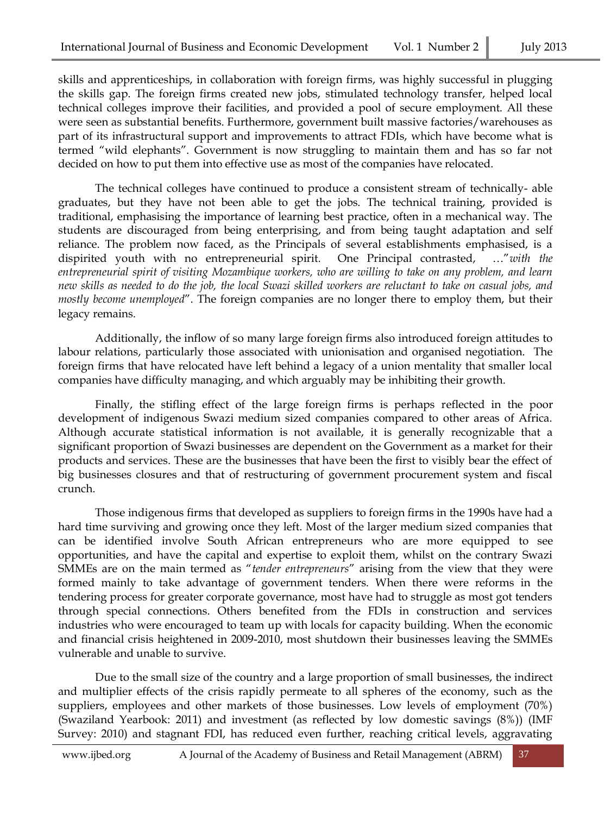skills and apprenticeships, in collaboration with foreign firms, was highly successful in plugging the skills gap. The foreign firms created new jobs, stimulated technology transfer, helped local technical colleges improve their facilities, and provided a pool of secure employment. All these were seen as substantial benefits. Furthermore, government built massive factories/warehouses as part of its infrastructural support and improvements to attract FDIs, which have become what is termed "wild elephants". Government is now struggling to maintain them and has so far not decided on how to put them into effective use as most of the companies have relocated.

The technical colleges have continued to produce a consistent stream of technically- able graduates, but they have not been able to get the jobs. The technical training, provided is traditional, emphasising the importance of learning best practice, often in a mechanical way. The students are discouraged from being enterprising, and from being taught adaptation and self reliance. The problem now faced, as the Principals of several establishments emphasised, is a dispirited youth with no entrepreneurial spirit. One Principal contrasted, …"*with the entrepreneurial spirit of visiting Mozambique workers, who are willing to take on any problem, and learn new skills as needed to do the job, the local Swazi skilled workers are reluctant to take on casual jobs, and mostly become unemployed*". The foreign companies are no longer there to employ them, but their legacy remains.

Additionally, the inflow of so many large foreign firms also introduced foreign attitudes to labour relations, particularly those associated with unionisation and organised negotiation. The foreign firms that have relocated have left behind a legacy of a union mentality that smaller local companies have difficulty managing, and which arguably may be inhibiting their growth.

Finally, the stifling effect of the large foreign firms is perhaps reflected in the poor development of indigenous Swazi medium sized companies compared to other areas of Africa. Although accurate statistical information is not available, it is generally recognizable that a significant proportion of Swazi businesses are dependent on the Government as a market for their products and services. These are the businesses that have been the first to visibly bear the effect of big businesses closures and that of restructuring of government procurement system and fiscal crunch.

Those indigenous firms that developed as suppliers to foreign firms in the 1990s have had a hard time surviving and growing once they left. Most of the larger medium sized companies that can be identified involve South African entrepreneurs who are more equipped to see opportunities, and have the capital and expertise to exploit them, whilst on the contrary Swazi SMMEs are on the main termed as "*tender entrepreneurs*" arising from the view that they were formed mainly to take advantage of government tenders. When there were reforms in the tendering process for greater corporate governance, most have had to struggle as most got tenders through special connections. Others benefited from the FDIs in construction and services industries who were encouraged to team up with locals for capacity building. When the economic and financial crisis heightened in 2009-2010, most shutdown their businesses leaving the SMMEs vulnerable and unable to survive.

Due to the small size of the country and a large proportion of small businesses, the indirect and multiplier effects of the crisis rapidly permeate to all spheres of the economy, such as the suppliers, employees and other markets of those businesses. Low levels of employment (70%) (Swaziland Yearbook: 2011) and investment (as reflected by low domestic savings (8%)) (IMF Survey: 2010) and stagnant FDI, has reduced even further, reaching critical levels, aggravating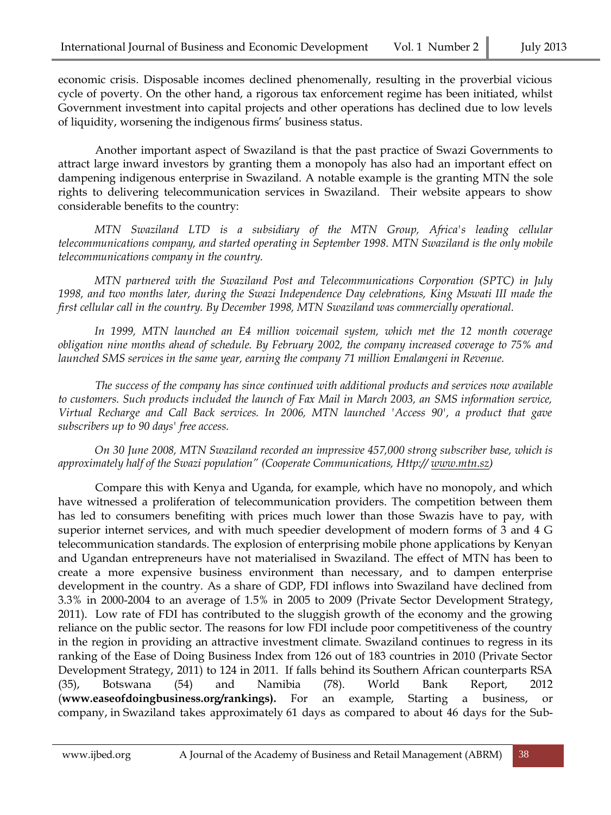economic crisis. Disposable incomes declined phenomenally, resulting in the proverbial vicious cycle of poverty. On the other hand, a rigorous tax enforcement regime has been initiated, whilst Government investment into capital projects and other operations has declined due to low levels of liquidity, worsening the indigenous firms' business status.

Another important aspect of Swaziland is that the past practice of Swazi Governments to attract large inward investors by granting them a monopoly has also had an important effect on dampening indigenous enterprise in Swaziland. A notable example is the granting MTN the sole rights to delivering telecommunication services in Swaziland. Their website appears to show considerable benefits to the country:

*MTN Swaziland LTD is a subsidiary of the MTN Group, Africa's leading cellular telecommunications company, and started operating in September 1998. MTN Swaziland is the only mobile telecommunications company in the country.*

*MTN partnered with the Swaziland Post and Telecommunications Corporation (SPTC) in July 1998, and two months later, during the Swazi Independence Day celebrations, King Mswati III made the first cellular call in the country. By December 1998, MTN Swaziland was commercially operational.*

*In 1999, MTN launched an E4 million voicemail system, which met the 12 month coverage obligation nine months ahead of schedule. By February 2002, the company increased coverage to 75% and launched SMS services in the same year, earning the company 71 million Emalangeni in Revenue.*

*The success of the company has since continued with additional products and services now available to customers. Such products included the launch of Fax Mail in March 2003, an SMS information service, Virtual Recharge and Call Back services. In 2006, MTN launched 'Access 90', a product that gave subscribers up to 90 days' free access.*

*On 30 June 2008, MTN Swaziland recorded an impressive 457,000 strong subscriber base, which is approximately half of the Swazi population" (Cooperate Communications, Http:// [www.mtn.sz\)](http://www.mtn.sz/)*

Compare this with Kenya and Uganda, for example, which have no monopoly, and which have witnessed a proliferation of telecommunication providers. The competition between them has led to consumers benefiting with prices much lower than those Swazis have to pay, with superior internet services, and with much speedier development of modern forms of 3 and 4 G telecommunication standards. The explosion of enterprising mobile phone applications by Kenyan and Ugandan entrepreneurs have not materialised in Swaziland. The effect of MTN has been to create a more expensive business environment than necessary, and to dampen enterprise development in the country. As a share of GDP, FDI inflows into Swaziland have declined from 3.3% in 2000-2004 to an average of 1.5% in 2005 to 2009 (Private Sector Development Strategy, 2011). Low rate of FDI has contributed to the sluggish growth of the economy and the growing reliance on the public sector. The reasons for low FDI include poor competitiveness of the country in the region in providing an attractive investment climate. Swaziland continues to regress in its ranking of the Ease of Doing Business Index from 126 out of 183 countries in 2010 (Private Sector Development Strategy, 2011) to 124 in 2011. If falls behind its Southern African counterparts RSA (35), Botswana (54) and Namibia (78). World Bank Report, 2012 (**[www.easeofdoingbusiness.org/rankings\)](http://www.easeofdoingbusiness.org/rankings).** For an example, Starting a business, or company, in Swaziland takes approximately 61 days as compared to about 46 days for the Sub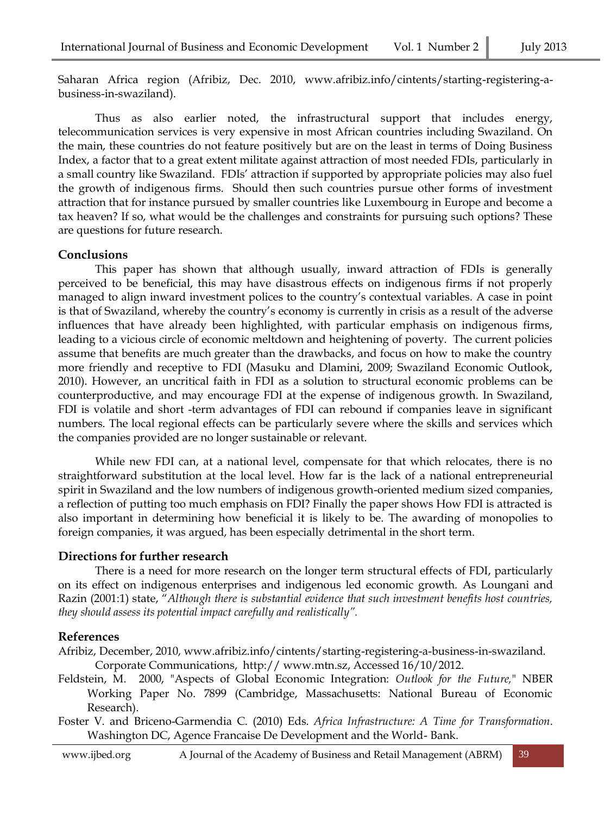Saharan Africa region (Afribiz, Dec. 2010, www.afribiz.info/cintents/starting-registering-abusiness-in-swaziland).

Thus as also earlier noted, the infrastructural support that includes energy, telecommunication services is very expensive in most African countries including Swaziland. On the main, these countries do not feature positively but are on the least in terms of Doing Business Index, a factor that to a great extent militate against attraction of most needed FDIs, particularly in a small country like Swaziland. FDIs' attraction if supported by appropriate policies may also fuel the growth of indigenous firms. Should then such countries pursue other forms of investment attraction that for instance pursued by smaller countries like Luxembourg in Europe and become a tax heaven? If so, what would be the challenges and constraints for pursuing such options? These are questions for future research.

#### **Conclusions**

This paper has shown that although usually, inward attraction of FDIs is generally perceived to be beneficial, this may have disastrous effects on indigenous firms if not properly managed to align inward investment polices to the country's contextual variables. A case in point is that of Swaziland, whereby the country's economy is currently in crisis as a result of the adverse influences that have already been highlighted, with particular emphasis on indigenous firms, leading to a vicious circle of economic meltdown and heightening of poverty. The current policies assume that benefits are much greater than the drawbacks, and focus on how to make the country more friendly and receptive to FDI (Masuku and Dlamini, 2009; Swaziland Economic Outlook, 2010). However, an uncritical faith in FDI as a solution to structural economic problems can be counterproductive, and may encourage FDI at the expense of indigenous growth. In Swaziland, FDI is volatile and short -term advantages of FDI can rebound if companies leave in significant numbers. The local regional effects can be particularly severe where the skills and services which the companies provided are no longer sustainable or relevant.

While new FDI can, at a national level, compensate for that which relocates, there is no straightforward substitution at the local level. How far is the lack of a national entrepreneurial spirit in Swaziland and the low numbers of indigenous growth-oriented medium sized companies, a reflection of putting too much emphasis on FDI? Finally the paper shows How FDI is attracted is also important in determining how beneficial it is likely to be. The awarding of monopolies to foreign companies, it was argued, has been especially detrimental in the short term.

#### **Directions for further research**

There is a need for more research on the longer term structural effects of FDI, particularly on its effect on indigenous enterprises and indigenous led economic growth. As Loungani and Razin (2001:1) state, "*Although there is substantial evidence that such investment benefits host countries, they should assess its potential impact carefully and realistically".* 

#### **References**

Afribiz, December, 2010, www.afribiz.info/cintents/starting-registering-a-business-in-swaziland. Corporate Communications, http:// [www.mtn.sz,](http://www.mtn.sz/) Accessed 16/10/2012.

- Feldstein, M. 2000, "Aspects of Global Economic Integration: *Outlook for the Future,*" NBER Working Paper No. 7899 (Cambridge, Massachusetts: National Bureau of Economic Research).
- Foster V. and Briceno-Garmendia C. (2010) Eds. *Africa Infrastructure: A Time for Transformation*. Washington DC, Agence Francaise De Development and the World- Bank.